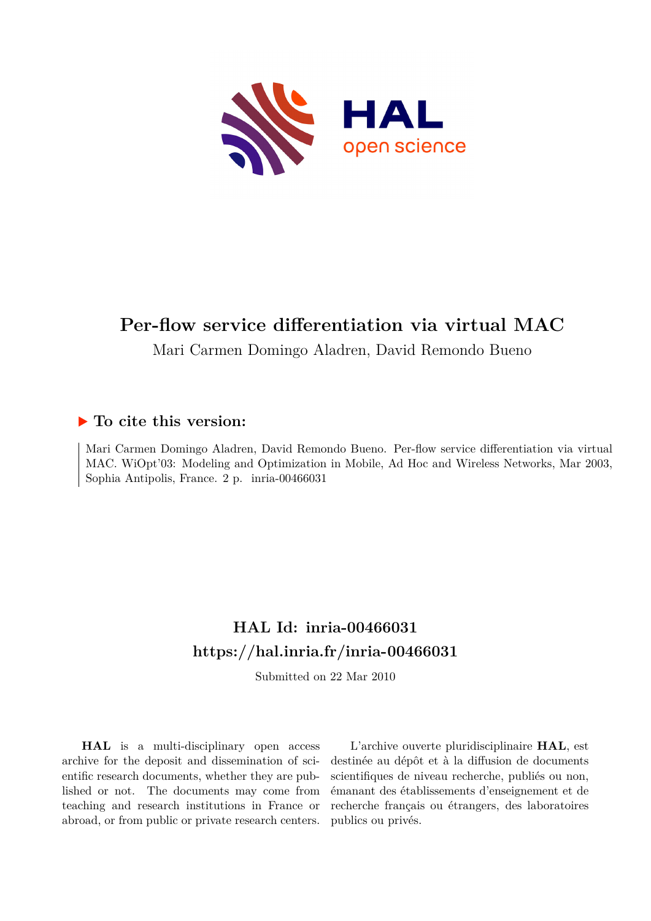

# **Per-flow service differentiation via virtual MAC**

Mari Carmen Domingo Aladren, David Remondo Bueno

# **To cite this version:**

Mari Carmen Domingo Aladren, David Remondo Bueno. Per-flow service differentiation via virtual MAC. WiOpt'03: Modeling and Optimization in Mobile, Ad Hoc and Wireless Networks, Mar 2003, Sophia Antipolis, France.  $2 p.$  inria-00466031

# **HAL Id: inria-00466031 <https://hal.inria.fr/inria-00466031>**

Submitted on 22 Mar 2010

**HAL** is a multi-disciplinary open access archive for the deposit and dissemination of scientific research documents, whether they are published or not. The documents may come from teaching and research institutions in France or abroad, or from public or private research centers.

L'archive ouverte pluridisciplinaire **HAL**, est destinée au dépôt et à la diffusion de documents scientifiques de niveau recherche, publiés ou non, émanant des établissements d'enseignement et de recherche français ou étrangers, des laboratoires publics ou privés.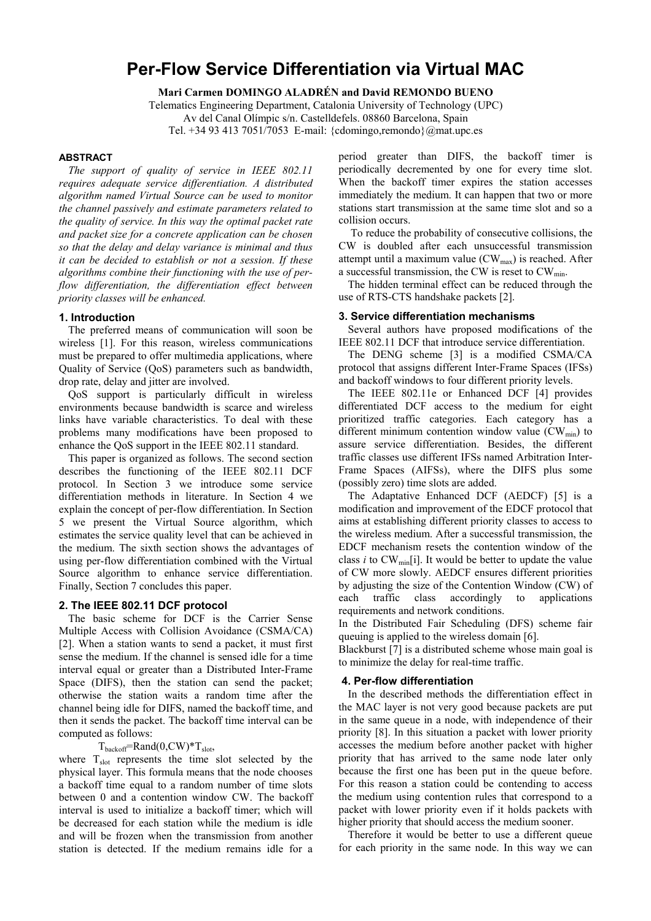# **Per-Flow Service Differentiation via Virtual MAC**

**Mari Carmen DOMINGO ALADRÉN and David REMONDO BUENO** 

Telematics Engineering Department, Catalonia University of Technology (UPC)

Av del Canal Olímpic s/n. Castelldefels. 08860 Barcelona, Spain

Tel. +34 93 413 7051/7053 E-mail: {cdomingo,remondo}@mat.upc.es

### **ABSTRACT**

*The support of quality of service in IEEE 802.11 requires adequate service differentiation. A distributed algorithm named Virtual Source can be used to monitor the channel passively and estimate parameters related to the quality of service. In this way the optimal packet rate and packet size for a concrete application can be chosen so that the delay and delay variance is minimal and thus it can be decided to establish or not a session. If these algorithms combine their functioning with the use of perflow differentiation, the differentiation effect between priority classes will be enhanced.* 

### **1. Introduction**

The preferred means of communication will soon be wireless [1]. For this reason, wireless communications must be prepared to offer multimedia applications, where Quality of Service (QoS) parameters such as bandwidth, drop rate, delay and jitter are involved.

QoS support is particularly difficult in wireless environments because bandwidth is scarce and wireless links have variable characteristics. To deal with these problems many modifications have been proposed to enhance the QoS support in the IEEE 802.11 standard.

This paper is organized as follows. The second section describes the functioning of the IEEE 802.11 DCF protocol. In Section 3 we introduce some service differentiation methods in literature. In Section 4 we explain the concept of per-flow differentiation. In Section 5 we present the Virtual Source algorithm, which estimates the service quality level that can be achieved in the medium. The sixth section shows the advantages of using per-flow differentiation combined with the Virtual Source algorithm to enhance service differentiation. Finally, Section 7 concludes this paper.

### **2. The IEEE 802.11 DCF protocol**

The basic scheme for DCF is the Carrier Sense Multiple Access with Collision Avoidance (CSMA/CA) [2]. When a station wants to send a packet, it must first sense the medium. If the channel is sensed idle for a time interval equal or greater than a Distributed Inter-Frame Space (DIFS), then the station can send the packet; otherwise the station waits a random time after the channel being idle for DIFS, named the backoff time, and then it sends the packet. The backoff time interval can be computed as follows:

 $T_{\text{backoff}}$ =Rand $(0, CW)^*T_{\text{slot}}$ ,

where  $T_{slot}$  represents the time slot selected by the physical layer. This formula means that the node chooses a backoff time equal to a random number of time slots between 0 and a contention window CW. The backoff interval is used to initialize a backoff timer; which will be decreased for each station while the medium is idle and will be frozen when the transmission from another station is detected. If the medium remains idle for a period greater than DIFS, the backoff timer is periodically decremented by one for every time slot. When the backoff timer expires the station accesses immediately the medium. It can happen that two or more stations start transmission at the same time slot and so a collision occurs.

 To reduce the probability of consecutive collisions, the CW is doubled after each unsuccessful transmission attempt until a maximum value  $(CW_{max})$  is reached. After a successful transmission, the CW is reset to  $CW_{min}$ .

The hidden terminal effect can be reduced through the use of RTS-CTS handshake packets [2].

#### **3. Service differentiation mechanisms**

Several authors have proposed modifications of the IEEE 802.11 DCF that introduce service differentiation.

The DENG scheme [3] is a modified CSMA/CA protocol that assigns different Inter-Frame Spaces (IFSs) and backoff windows to four different priority levels.

The IEEE 802.11e or Enhanced DCF [4] provides differentiated DCF access to the medium for eight prioritized traffic categories. Each category has a different minimum contention window value  $(CW_{min})$  to assure service differentiation. Besides, the different traffic classes use different IFSs named Arbitration Inter-Frame Spaces (AIFSs), where the DIFS plus some (possibly zero) time slots are added.

The Adaptative Enhanced DCF (AEDCF) [5] is a modification and improvement of the EDCF protocol that aims at establishing different priority classes to access to the wireless medium. After a successful transmission, the EDCF mechanism resets the contention window of the class *i* to  $CW_{min}[i]$ . It would be better to update the value of CW more slowly. AEDCF ensures different priorities by adjusting the size of the Contention Window (CW) of each traffic class accordingly to applications requirements and network conditions.

In the Distributed Fair Scheduling (DFS) scheme fair queuing is applied to the wireless domain [6].

Blackburst [7] is a distributed scheme whose main goal is to minimize the delay for real-time traffic.

#### **4. Per-flow differentiation**

In the described methods the differentiation effect in the MAC layer is not very good because packets are put in the same queue in a node, with independence of their priority [8]. In this situation a packet with lower priority accesses the medium before another packet with higher priority that has arrived to the same node later only because the first one has been put in the queue before. For this reason a station could be contending to access the medium using contention rules that correspond to a packet with lower priority even if it holds packets with higher priority that should access the medium sooner.

Therefore it would be better to use a different queue for each priority in the same node. In this way we can